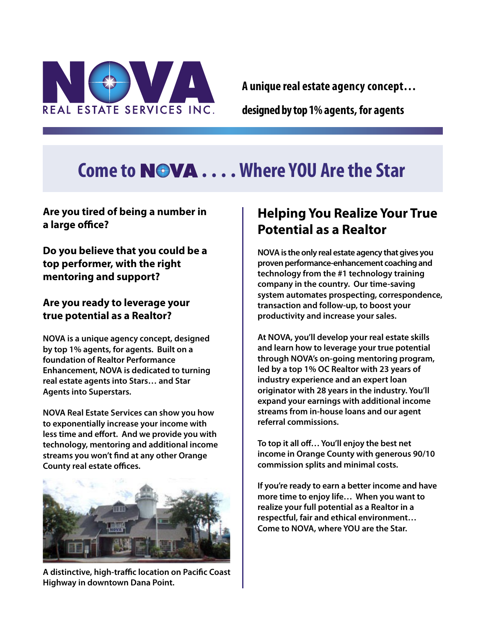

**A unique real estate agency concept…** 

**designed by top 1% agents, for agents**

# **Come to . . . .Where YOU Are the Star**

### **Are you tired of being a number in a large office?**

**Do you believe that you could be a top performer, with the right mentoring and support?**

### **Are you ready to leverage your true potential as a Realtor?**

**NOVA is a unique agency concept, designed by top 1% agents, for agents. Built on a foundation of Realtor Performance Enhancement, NOVA is dedicated to turning real estate agents into Stars… and Star Agents into Superstars.**

**NOVA Real Estate Services can show you how to exponentially increase your income with less time and effort. And we provide you with technology, mentoring and additional income streams you won't find at any other Orange County real estate offices.**



**A distinctive, high-traffic location on Pacific Coast Highway in downtown Dana Point.**

# **Helping You Realize Your True Potential as a Realtor**

**NOVA is the only real estate agency that gives you proven performance-enhancement coaching and technology from the #1 technology training company in the country. Our time-saving system automates prospecting, correspondence, transaction and follow-up, to boost your productivity and increase your sales.**

**At NOVA, you'll develop your real estate skills and learn how to leverage your true potential through NOVA's on-going mentoring program, led by a top 1% OC Realtor with 23 years of industry experience and an expert loan originator with 28 years in the industry. You'll expand your earnings with additional income streams from in-house loans and our agent referral commissions.** 

**To top it all off… You'll enjoy the best net income in Orange County with generous 90/10 commission splits and minimal costs.** 

**If you're ready to earn a better income and have more time to enjoy life… When you want to realize your full potential as a Realtor in a respectful, fair and ethical environment… Come to NOVA, where YOU are the Star.**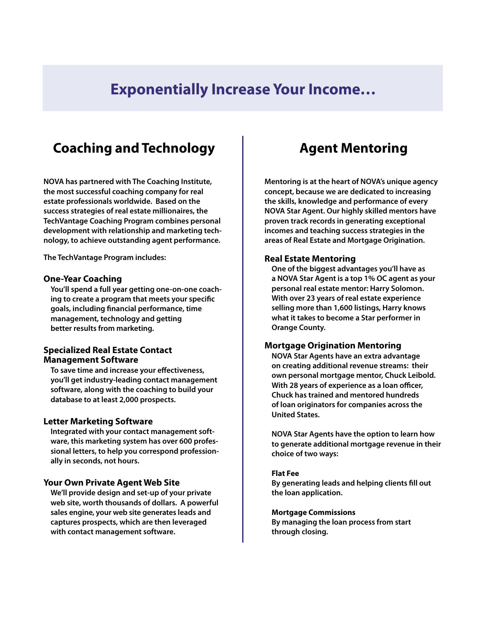# **Exponentially Increase Your Income…**

# **Coaching and Technology**

**NOVA has partnered with The Coaching Institute, the most successful coaching company for real estate professionals worldwide. Based on the success strategies of real estate millionaires, the TechVantage Coaching Program combines personal development with relationship and marketing technology, to achieve outstanding agent performance.**

**The TechVantage Program includes:**

#### **One-Year Coaching**

**You'll spend a full year getting one-on-one coaching to create a program that meets your specific goals, including financial performance, time management, technology and getting better results from marketing.**

#### **Specialized Real Estate Contact Management Software**

**To save time and increase your effectiveness, you'll get industry-leading contact management software, along with the coaching to build your database to at least 2,000 prospects.**

#### **Letter Marketing Software**

**Integrated with your contact management software, this marketing system has over 600 professional letters, to help you correspond professionally in seconds, not hours.**

#### **Your Own Private Agent Web Site**

**We'll provide design and set-up of your private web site, worth thousands of dollars. A powerful sales engine, your web site generates leads and captures prospects, which are then leveraged with contact management software.**

### **Agent Mentoring**

**Mentoring is at the heart of NOVA's unique agency concept, because we are dedicated to increasing the skills, knowledge and performance of every NOVA Star Agent. Our highly skilled mentors have proven track records in generating exceptional incomes and teaching success strategies in the areas of Real Estate and Mortgage Origination.**

#### **Real Estate Mentoring**

**One of the biggest advantages you'll have as a NOVA Star Agent is a top 1% OC agent as your personal real estate mentor: Harry Solomon. With over 23 years of real estate experience selling more than 1,600 listings, Harry knows what it takes to become a Star performer in Orange County.**

#### **Mortgage Origination Mentoring**

**NOVA Star Agents have an extra advantage on creating additional revenue streams: their own personal mortgage mentor, Chuck Leibold. With 28 years of experience as a loan officer, Chuck has trained and mentored hundreds of loan originators for companies across the United States.**

**NOVA Star Agents have the option to learn how to generate additional mortgage revenue in their choice of two ways:**

#### **Flat Fee**

**By generating leads and helping clients fill out the loan application.**

**Mortgage Commissions**

**By managing the loan process from start through closing.**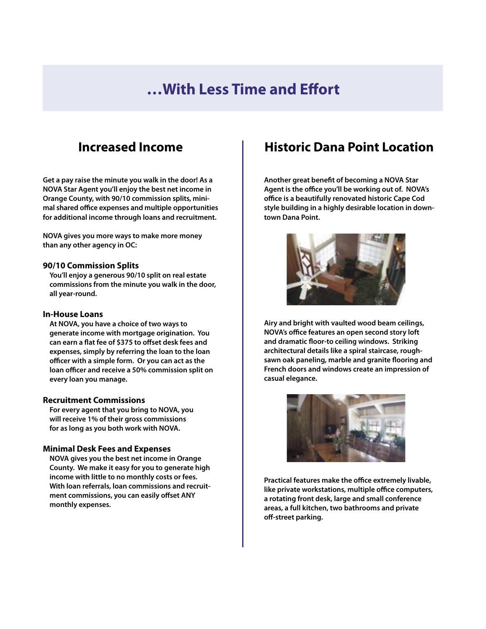# **…With Less Time and Effort**

### **Increased Income**

**Get a pay raise the minute you walk in the door! As a NOVA Star Agent you'll enjoy the best net income in Orange County, with 90/10 commission splits, minimal shared office expenses and multiple opportunities for additional income through loans and recruitment.**

**NOVA gives you more ways to make more money than any other agency in OC:**

#### **90/10 Commission Splits**

**You'll enjoy a generous 90/10 split on real estate commissions from the minute you walk in the door, all year-round.**

#### **In-House Loans**

**At NOVA, you have a choice of two ways to generate income with mortgage origination. You can earn a flat fee of \$375 to offset desk fees and expenses, simply by referring the loan to the loan officer with a simple form. Or you can act as the loan officer and receive a 50% commission split on every loan you manage.**

#### **Recruitment Commissions**

**For every agent that you bring to NOVA, you will receive 1% of their gross commissions for as long as you both work with NOVA.**

#### **Minimal Desk Fees and Expenses**

**NOVA gives you the best net income in Orange County. We make it easy for you to generate high income with little to no monthly costs or fees. With loan referrals, loan commissions and recruitment commissions, you can easily offset ANY monthly expenses.**

### **Historic Dana Point Location**

**Another great benefit of becoming a NOVA Star Agent is the office you'll be working out of. NOVA's office is a beautifully renovated historic Cape Cod style building in a highly desirable location in downtown Dana Point.** 



**Airy and bright with vaulted wood beam ceilings, NOVA's office features an open second story loft and dramatic floor-to ceiling windows. Striking architectural details like a spiral staircase, roughsawn oak paneling, marble and granite flooring and French doors and windows create an impression of casual elegance.** 



**Practical features make the office extremely livable, like private workstations, multiple office computers, a rotating front desk, large and small conference areas, a full kitchen, two bathrooms and private off-street parking.**